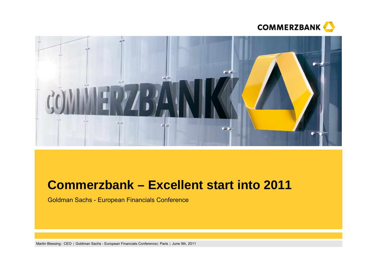



# **Commerzbank – Excellent start into 2011**

Goldman Sachs - European Financials Conference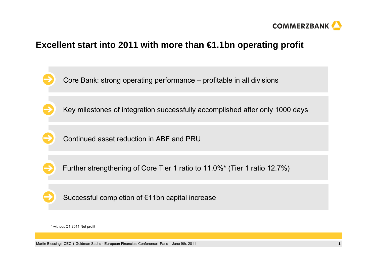

## **Excellent start into 2011 with more than €1.1bn operating profit**



\* without Q1 2011 Net profit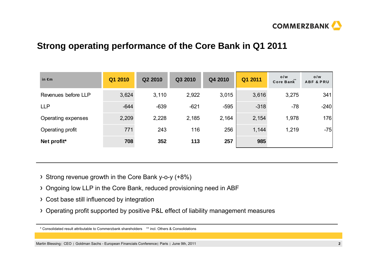

## **Strong operating performance of the Core Bank in Q1 2011**

| in $\epsilon$ m     | Q1 2010 | Q2 2010 | Q3 2010 | Q4 2010 | Q1 2011 | o/w<br>Core Bank* | o/w<br><b>ABF &amp; PRU</b> |
|---------------------|---------|---------|---------|---------|---------|-------------------|-----------------------------|
| Revenues before LLP | 3,624   | 3,110   | 2,922   | 3,015   | 3,616   | 3,275             | 341                         |
| <b>LLP</b>          | $-644$  | $-639$  | $-621$  | $-595$  | $-318$  | $-78$             | $-240$                      |
| Operating expenses  | 2,209   | 2,228   | 2,185   | 2,164   | 2,154   | 1,978             | 176                         |
| Operating profit    | 771     | 243     | 116     | 256     | 1,144   | 1,219             | $-75$                       |
| Net profit*         | 708     | 352     | 113     | 257     | 985     |                   |                             |

Strong revenue growth in the Core Bank y-o-y (+8%)

- Ongoing low LLP in the Core Bank, reduced provisioning need in ABF
- Cost base still influenced by integration
- Operating profit supported by positive P&L effect of liability management measures

<sup>\*</sup> Consolidated result attributable to Commerzbank shareholders \*\* incl. Others & Consolidations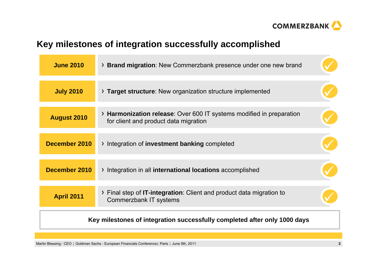

# **Key milestones of integration successfully accomplished**

| <b>June 2010</b>                                                          | > Brand migration: New Commerzbank presence under one new brand                                               |  |  |  |
|---------------------------------------------------------------------------|---------------------------------------------------------------------------------------------------------------|--|--|--|
| <b>July 2010</b>                                                          | > Target structure: New organization structure implemented                                                    |  |  |  |
| <b>August 2010</b>                                                        | > Harmonization release: Over 600 IT systems modified in preparation<br>for client and product data migration |  |  |  |
| December 2010                                                             | > Integration of investment banking completed                                                                 |  |  |  |
| December 2010                                                             | > Integration in all international locations accomplished                                                     |  |  |  |
| <b>April 2011</b>                                                         | $\rightarrow$ Final step of IT-integration: Client and product data migration to<br>Commerzbank IT systems    |  |  |  |
| Key milestones of integration successfully completed after only 1000 days |                                                                                                               |  |  |  |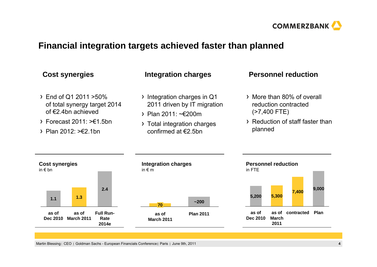

## **Financial integration targets achieved faster than planned**

- End of Q1 2011 >50% of total synergy target 2014 of €2.4bn achieved
- Forecast 2011: >€1.5bn
- $\rightarrow$  Plan 2012: >  $\neq$  2.1bn
- Integration charges in Q1 2011 driven by IT migration
- Plan 2011: ~€200m
- > Total integration charges confirmed at €2.5bn

#### Cost synergies Integration charges Personnel reduction

- More than 80% of overall reduction contracted (>7,400 FTE)
- Reduction of staff faster than planned

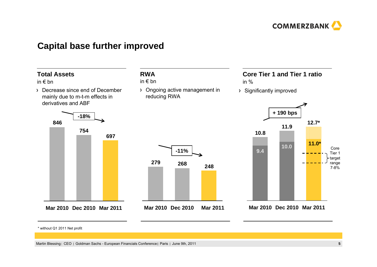

## **Capital base further improved**

#### **Total Assets**

#### in € bn

Decrease since end of December mainly due to m-t-m effects in derivatives and ABF

## **RWA**

#### in € bn

Ongoing active management in reducing RWA

# **Core Tier 1 and Tier 1 ratio**

in %

Significantly improved







**Mar 2011Dec 2010Mar 2010**

\* without Q1 2011 Net profit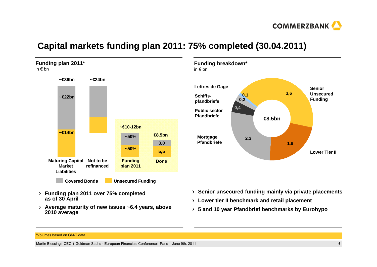

## **Capital markets funding plan 2011: 75% completed (30.04.2011)**

**Funding plan 2011\*** in € bn





**Average maturity of new issues ~6.4 years, above 2010 average**



- **Senior unsecured funding mainly via private placements**
- **Lower tier II benchmark and retail placement**
- **5 and 10 year Pfandbrief benchmarks by Eurohypo**

#### \*Volumes based on GM-T data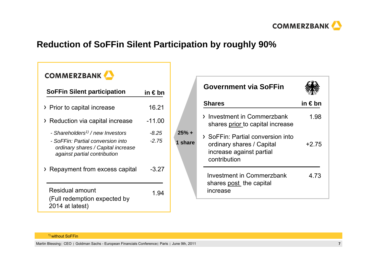

## **Reduction of SoFFin Silent Participation by roughly 90%**

**COMMERZBANK** 

| <b>SoFFin Silent participation</b>                                                                                                                      | in €bn         |
|---------------------------------------------------------------------------------------------------------------------------------------------------------|----------------|
| > Prior to capital increase                                                                                                                             | 16.21          |
| > Reduction via capital increase                                                                                                                        | $-11.00$       |
| - Shareholders <sup>1)</sup> / new Investors<br>- SoFFin: Partial conversion into<br>ordinary shares / Capital increase<br>against partial contribution | -8.25<br>-2.75 |
| Repayment from excess capital                                                                                                                           | $-3.27$        |
| Residual amount<br>(Full redemption expected by<br>2014 at latest)                                                                                      | 1.94           |

|                    | <b>Government via SoFFin</b>                                                                               |             |
|--------------------|------------------------------------------------------------------------------------------------------------|-------------|
|                    | <b>Shares</b>                                                                                              | in $\in$ bn |
|                    | > Investment in Commerzbank<br>shares prior to capital increase                                            | 1.98        |
| $25% +$<br>1 share | > SoFFin: Partial conversion into<br>ordinary shares / Capital<br>increase against partial<br>contribution | $+2.75$     |
|                    | Investment in Commerzbank<br>shares post the capital<br>increase                                           | 4.73        |

<sup>1)</sup> without SoFFin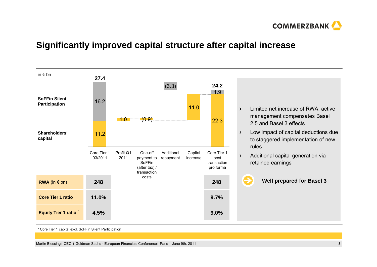

## **Significantly improved capital structure after capital increase**



\* Core Tier 1 capital excl. SoFFin Silent Participation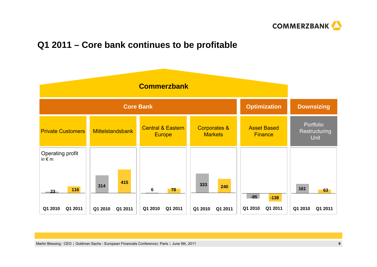

## **Q1 2011 – Core bank continues to be profitable**

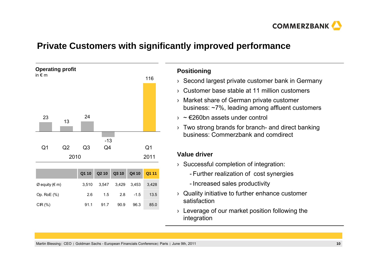

## **Private Customers with significantly improved performance**



#### **Positioning**

- › Second largest private customer bank in Germany
- › Customer base stable at 11 million customers
- › Market share of German private customer business: ~7%, leading among affluent customers
- › ~ €260bn assets under control
- › Two strong brands for branch- and direct banking business: Commerzbank and comdirect

- › Successful completion of integration:
	- Further realization of cost synergies
	- Increased sales productivity
- › Quality initiative to further enhance customer satisfaction
- › Leverage of our market position following the integration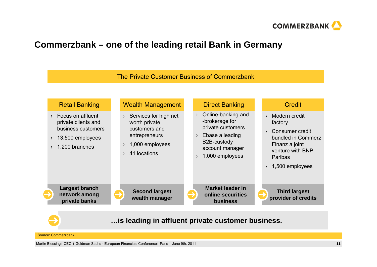

## **Commerzbank – one of the leading retail Bank in Germany**



**…is leading in affluent private customer business.**

Source: Commerzbank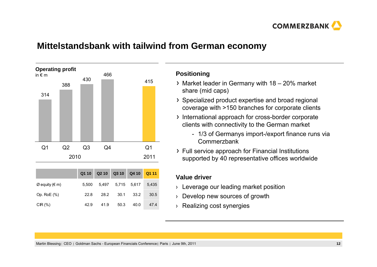

## **Mittelstandsbank with tailwind from German economy**



|                |       |      | Q1 10 Q2 10 Q3 10 Q4 10 Q1 11 |      |       |
|----------------|-------|------|-------------------------------|------|-------|
| Ø equity (€ m) | 5.500 |      | 5,497 5,715 5,617             |      | 5,435 |
| Op. RoE (%)    | 22.8  | 28.2 | - 30.1                        | 33.2 | 30.5  |
| CIR $(\%)$     | 42.9  | 41.9 | 50.3                          | 40.0 | 47.4  |

#### **Positioning**

- Market leader in Germany with 18 20% market share (mid caps)
- Specialized product expertise and broad regional coverage with >150 branches for corporate clients
- International approach for cross-border corporate clients with connectivity to the German market
	- 1/3 of Germanys import-/export finance runs via **Commerzbank**
- Full service approach for Financial Institutions supported by 40 representative offices worldwide

- › Leverage our leading market position
- › Develop new sources of growth
- › Realizing cost synergies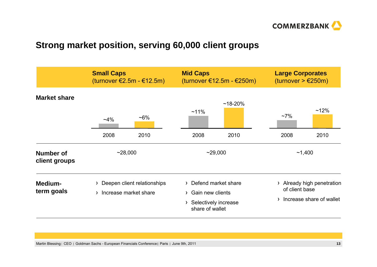

## **Strong market position, serving 60,000 client groups**

|                                   | <b>Small Caps</b><br>(turnover €2.5m - €12.5m)                      |  | <b>Mid Caps</b>                                                                          | (turnover €12.5m - €250m) | <b>Large Corporates</b><br>(turnover $> \text{\textsterling}250m$ ) |                                                      |
|-----------------------------------|---------------------------------------------------------------------|--|------------------------------------------------------------------------------------------|---------------------------|---------------------------------------------------------------------|------------------------------------------------------|
| <b>Market share</b>               | $~16\%$<br>$~14\%$<br>2008<br>2010                                  |  | $~11\%$<br>2008                                                                          | $~18 - 20%$<br>2010       | $~17\%$<br>2008                                                     | $~12\%$<br>2010                                      |
| <b>Number of</b><br>client groups | ~28,000                                                             |  |                                                                                          | ~29,000                   |                                                                     | ~1,400                                               |
| <b>Medium-</b><br>term goals      | Deepen client relationships<br>≻<br>Increase market share<br>$\sum$ |  | > Defend market share<br>> Gain new clients<br>> Selectively increase<br>share of wallet |                           | $\sum$<br>of client base<br>$\sum$                                  | Already high penetration<br>Increase share of wallet |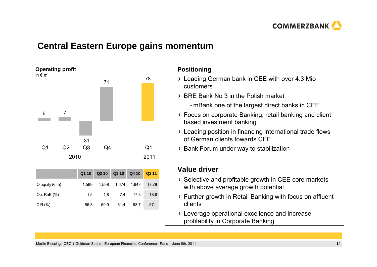

## **Central Eastern Europe gains momentum**



|                |       |      | Q1 10 Q2 10 Q3 10 Q4 10 Q1 11 |      |       |
|----------------|-------|------|-------------------------------|------|-------|
| Ø equity (€ m) | 1.599 |      |                               |      | 1,679 |
| Op. Ro $E(%)$  | 1.5   |      | $1.8$ $-7.4$ $17.3$           |      | 18.6  |
| CIR $(\%)$     | 55.8  | 59.9 | 61.4                          | 53.7 | 57.1  |

#### **Positioning**

- Leading German bank in CEE with over 4.3 Mio customers
- > BRE Bank No 3 in the Polish market
	- mBank one of the largest direct banks in CEE
- Focus on corporate Banking, retail banking and client based investment banking
- Leading position in financing international trade flows of German clients towards CEE
- Bank Forum under way to stabilization

- > Selective and profitable growth in CEE core markets with above average growth potential
- Further growth in Retail Banking with focus on affluent clients
- Leverage operational excellence and increase profitability in Corporate Banking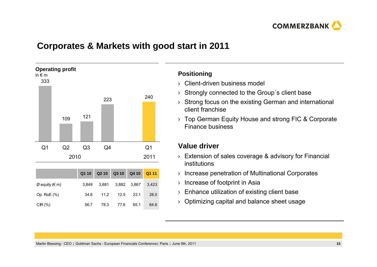

## **Corporates & Markets with good start in 2011**



#### **Positioning**

- › Client-driven business model
- › Strongly connected to the Group´s client base
- › Strong focus on the existing German and international client franchise
- › Top German Equity House and strong FIC & Corporate Finance business

- › Extension of sales coverage & advisory for Financial institutions
- ›Increase penetration of Multinational Corporates
- › Increase of footprint in Asia
- $\rightarrow$  Enhance utilization of existing client base
- › Optimizing capital and balance sheet usage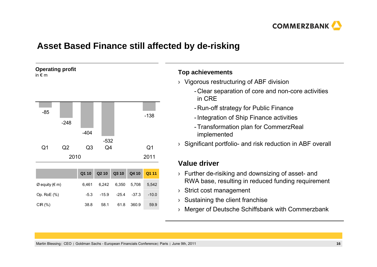

## **Asset Based Finance still affected by de-risking**

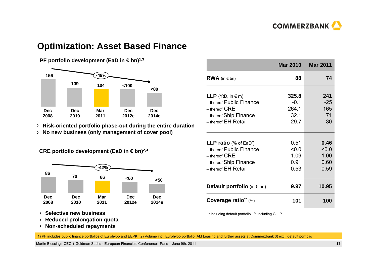

## **Optimization: Asset Based Finance**

#### **109-49% <80<100156Dec2014eDec2012eDec 2010Dec 2008Mar2011104**

**PF portfolio development (EaD in €bn)<sup>1,3</sup>** 

**Risk-oriented portfolio phase-out during the entire duration**

**No new business (only management of cover pool)**

**CRE portfolio development (EaD in € bn)2,3** 



- **Selective new business**
- **Reduced prolongation quota**
- **Non-scheduled repayments**

|                                           | <b>Mar 2010</b> | <b>Mar 2011</b> |
|-------------------------------------------|-----------------|-----------------|
| <b>RWA</b> (in $\in$ bn)                  | 88              | 74              |
| <b>LLP</b> (YtD, in $\in$ m)              | 325.8           | 241             |
| - thereof Public Finance                  | $-0.1$          | $-25$           |
| $-$ thereof $CRE$                         | 264.1           | 165             |
| - thereof Ship Finance                    | 32.1            | 71              |
| - thereof EH Retail                       | 29.7            | 30              |
| <b>LLP ratio</b> (% of EaD <sup>*</sup> ) | 0.51            | 0.46            |
| - thereof Public Finance                  | < 0.0           | < 0.0           |
| $-$ thereof $CRE$                         | 1.09            | 1.00            |
| - thereof Ship Finance                    | 0.91            | 0.60            |
| - thereof EH Retail                       | 0.53            | 0.59            |
| Default portfolio (in $\epsilon$ bn)      | 9.97            | 10.95           |
| Coverage ratio <sup>**</sup> $(\%)$       | 101             | 100             |

\* including default portfolio \*\* including GLLP

1) PF includes public finance portfolios of Eurohypo and EEPK 2) Volume incl. Eurohypo portfolio, AM Leasing and further assets at Commerzbank 3) excl. default portfolio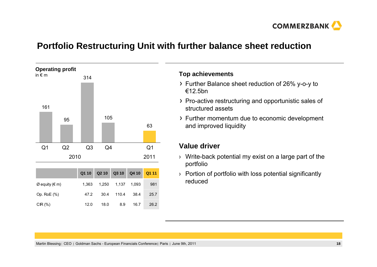

## **Portfolio Restructuring Unit with further balance sheet reduction**



#### **Top achievements**

- Further Balance sheet reduction of 26% y-o-y to €12.5bn
- Pro-active restructuring and opportunistic sales of structured assets
- Further momentum due to economic development and improved liquidity

- › Write-back potential my exist on a large part of the portfolio
- › Portion of portfolio with loss potential significantly reduced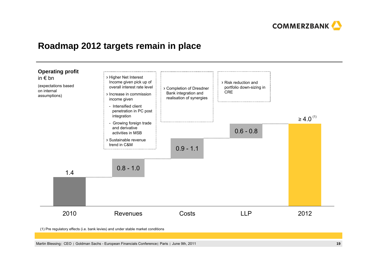

## **Roadmap 2012 targets remain in place**



(1) Pre regulatory effects (i.e. bank levies) and under stable market conditions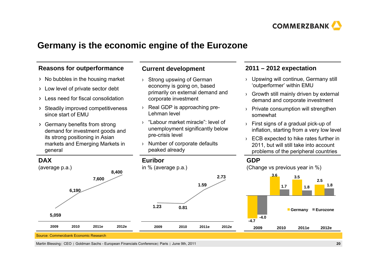

## **Germany is the economic engine of the Eurozone**

#### **Reasons for outperformance**

- $\rightarrow$  No bubbles in the housing market
- Low level of private sector debt
- Less need for fiscal consolidation
- > Steadily improved competitiveness since start of EMU
- Germany benefits from strong demand for investment goods and its strong positioning in Asian markets and Emerging Markets in general

**DAX** 

#### **Current development**

- › Strong upswing of German economy is going on, based primarily on external demand and corporate investment
- › Real GDP is approaching pre-Lehman level
- › "Labour market miracle": level of unemployment significantly below pre-crisis level
- › Number of corporate defaults peaked already

**Euribor**

#### **2011 – 2012 expectation**

- › Upswing will continue, Germany still 'outperformer' within EMU
- › Growth still mainly driven by external demand and corporate investment
- › Private consumption will strengthen somewhat
- › First signs of a gradual pick-up of inflation, starting from a very low level
- › ECB expected to hike rates further in 2011, but will still take into account problems of the peripheral countries

#### **GDP**

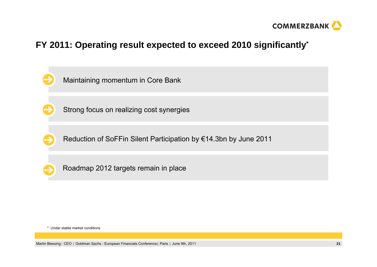

## **FY 2011: Operating result expected to exceed 2010 significantly\***



\* Under stable market conditions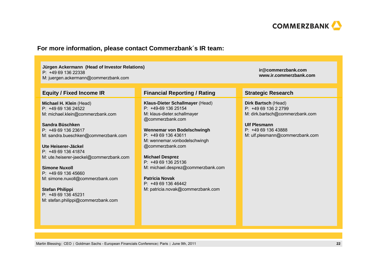

#### **For more information, please contact Commerzbank´s IR team:**

**Jürgen Ackermann (Head of Investor Relations)** P: +49 69 136 22338

M: juergen.ackermann@commerzbank.com

**Michael H. Klein** (Head) P: +49 69 136 24522M: michael.klein@commerzbank.com

**Sandra Büschken**P: +49 69 136 23617M: sandra.bueschken@commerzbank.com

**Ute Heiserer-Jäckel**P: +49 69 136 41874M: ute.heiserer-jaeckel@commerzbank.com

**Simone Nuxoll**P: +49 69 136 45660M: simone.nuxoll@commerzbank.com

**Stefan Philippi** P: +49 69 136 45231M: stefan.philippi@commerzbank.com

#### **Equity / Fixed Income IR Financial Reporting / Rating Strategic Research**

**Klaus-Dieter Schallmayer** (Head) P: +49-69 136 25154 M: klaus-dieter.schallmayer @commerzbank.com

**Wennemar von Bodelschwingh** P: +49 69 136 43611M: wennemar.vonbodelschwingh @commerzbank.com

**Michael Desprez** P: +49 69 136 25136M: michael.desprez@commerzbank.com

**Patricia Novak**P: +49 69 136 46442M: patricia.novak@commerzbank.com

**ir@commerzbank.comwww.ir.commerzbank.com**

**Dirk Bartsch** (Head) P: +49 69 136 2 2799 M: dirk.bartsch@commerzbank.com

**Ulf Plesmann**P: +49 69 136 43888 M: ulf.plesmann@commerzbank.com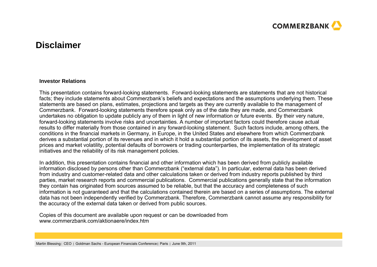

## **Disclaimer**

#### **Investor Relations**

This presentation contains forward-looking statements. Forward-looking statements are statements that are not historical facts; they include statements about Commerzbank's beliefs and expectations and the assumptions underlying them. These statements are based on plans, estimates, projections and targets as they are currently available to the management of Commerzbank. Forward-looking statements therefore speak only as of the date they are made, and Commerzbank undertakes no obligation to update publicly any of them in light of new information or future events. By their very nature, forward-looking statements involve risks and uncertainties. A number of important factors could therefore cause actual results to differ materially from those contained in any forward-looking statement. Such factors include, among others, the conditions in the financial markets in Germany, in Europe, in the United States and elsewhere from which Commerzbank derives a substantial portion of its revenues and in which it hold a substantial portion of its assets, the development of asset prices and market volatility, potential defaults of borrowers or trading counterparties, the implementation of its strategic initiatives and the reliability of its risk management policies.

In addition, this presentation contains financial and other information which has been derived from publicly available information disclosed by persons other than Commerzbank ("external data"). In particular, external data has been derived from industry and customer-related data and other calculations taken or derived from industry reports published by third parties, market research reports and commercial publications. Commercial publications generally state that the information they contain has originated from sources assumed to be reliable, but that the accuracy and completeness of such information is not guaranteed and that the calculations contained therein are based on a series of assumptions. The external data has not been independently verified by Commerzbank. Therefore, Commerzbank cannot assume any responsibility for the accuracy of the external data taken or derived from public sources.

Copies of this document are available upon request or can be downloaded from www.commerzbank.com/aktionaere/index.htm